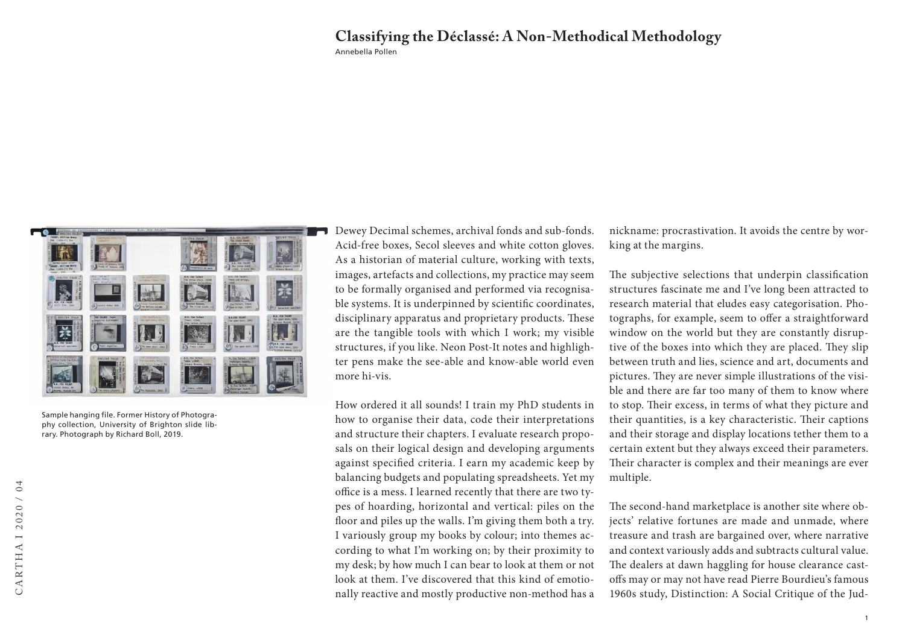## Annebella Pollen **Classifying the Déclassé: A Non-Methodical Methodology**



Sample hanging file. Former History of Photography collection, University of Brighton slide library. Photograph by Richard Boll, 2019.

Dewey Decimal schemes, archival fonds and sub-fonds. Acid-free boxes, Secol sleeves and white cotton gloves. As a historian of material culture, working with texts, images, artefacts and collections, my practice may seem to be formally organised and performed via recognisable systems. It is underpinned by scientific coordinates, disciplinary apparatus and proprietary products. These are the tangible tools with which I work; my visible structures, if you like. Neon Post-It notes and highlighter pens make the see-able and know-able world even more hi-vis.

How ordered it all sounds! I train my PhD students in how to organise their data, code their interpretations and structure their chapters. I evaluate research proposals on their logical design and developing arguments against specified criteria. I earn my academic keep by balancing budgets and populating spreadsheets. Yet my office is a mess. I learned recently that there are two types of hoarding, horizontal and vertical: piles on the floor and piles up the walls. I'm giving them both a try. I variously group my books by colour; into themes according to what I'm working on; by their proximity to my desk; by how much I can bear to look at them or not look at them. I've discovered that this kind of emotionally reactive and mostly productive non-method has a

nickname: procrastivation. It avoids the centre by working at the margins.

The subjective selections that underpin classification structures fascinate me and I've long been attracted to research material that eludes easy categorisation. Photographs, for example, seem to offer a straightforward window on the world but they are constantly disruptive of the boxes into which they are placed. They slip between truth and lies, science and art, documents and pictures. They are never simple illustrations of the visible and there are far too many of them to know where to stop. Their excess, in terms of what they picture and their quantities, is a key characteristic. Their captions and their storage and display locations tether them to a certain extent but they always exceed their parameters. Their character is complex and their meanings are ever multiple.

The second-hand marketplace is another site where objects' relative fortunes are made and unmade, where treasure and trash are bargained over, where narrative and context variously adds and subtracts cultural value. The dealers at dawn haggling for house clearance castoffs may or may not have read Pierre Bourdieu's famous 1960s study, Distinction: A Social Critique of the Jud-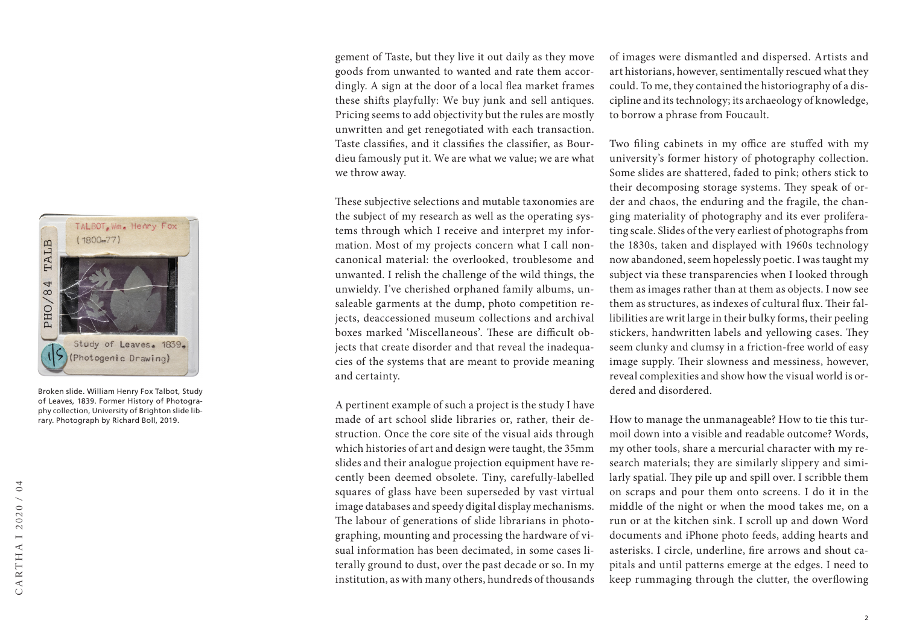

Broken slide. William Henry Fox Talbot, Study of Leaves, 1839. Former History of Photography collection, University of Brighton slide library. Photograph by Richard Boll, 2019.

gement of Taste, but they live it out daily as they move goods from unwanted to wanted and rate them accordingly. A sign at the door of a local flea market frames these shifts playfully: We buy junk and sell antiques. Pricing seems to add objectivity but the rules are mostly unwritten and get renegotiated with each transaction. Taste classifies, and it classifies the classifier, as Bourdieu famously put it. We are what we value; we are what we throw away.

These subjective selections and mutable taxonomies are the subject of my research as well as the operating systems through which I receive and interpret my information. Most of my projects concern what I call noncanonical material: the overlooked, troublesome and unwanted. I relish the challenge of the wild things, the unwieldy. I've cherished orphaned family albums, unsaleable garments at the dump, photo competition rejects, deaccessioned museum collections and archival boxes marked 'Miscellaneous'. These are difficult objects that create disorder and that reveal the inadequacies of the systems that are meant to provide meaning and certainty.

A pertinent example of such a project is the study I have made of art school slide libraries or, rather, their destruction. Once the core site of the visual aids through which histories of art and design were taught, the 35mm slides and their analogue projection equipment have recently been deemed obsolete. Tiny, carefully-labelled squares of glass have been superseded by vast virtual image databases and speedy digital display mechanisms. The labour of generations of slide librarians in photographing, mounting and processing the hardware of visual information has been decimated, in some cases literally ground to dust, over the past decade or so. In my institution, as with many others, hundreds of thousands

of images were dismantled and dispersed. Artists and art historians, however, sentimentally rescued what they could. To me, they contained the historiography of a discipline and its technology; its archaeology of knowledge, to borrow a phrase from Foucault.

Two filing cabinets in my office are stuffed with my university's former history of photography collection. Some slides are shattered, faded to pink; others stick to their decomposing storage systems. They speak of order and chaos, the enduring and the fragile, the changing materiality of photography and its ever proliferating scale. Slides of the very earliest of photographs from the 1830s, taken and displayed with 1960s technology now abandoned, seem hopelessly poetic. I was taught my subject via these transparencies when I looked through them as images rather than at them as objects. I now see them as structures, as indexes of cultural flux. Their fallibilities are writ large in their bulky forms, their peeling stickers, handwritten labels and yellowing cases. They seem clunky and clumsy in a friction-free world of easy image supply. Their slowness and messiness, however, reveal complexities and show how the visual world is ordered and disordered.

How to manage the unmanageable? How to tie this turmoil down into a visible and readable outcome? Words, my other tools, share a mercurial character with my research materials; they are similarly slippery and similarly spatial. They pile up and spill over. I scribble them on scraps and pour them onto screens. I do it in the middle of the night or when the mood takes me, on a run or at the kitchen sink. I scroll up and down Word documents and iPhone photo feeds, adding hearts and asterisks. I circle, underline, fire arrows and shout capitals and until patterns emerge at the edges. I need to keep rummaging through the clutter, the overflowing